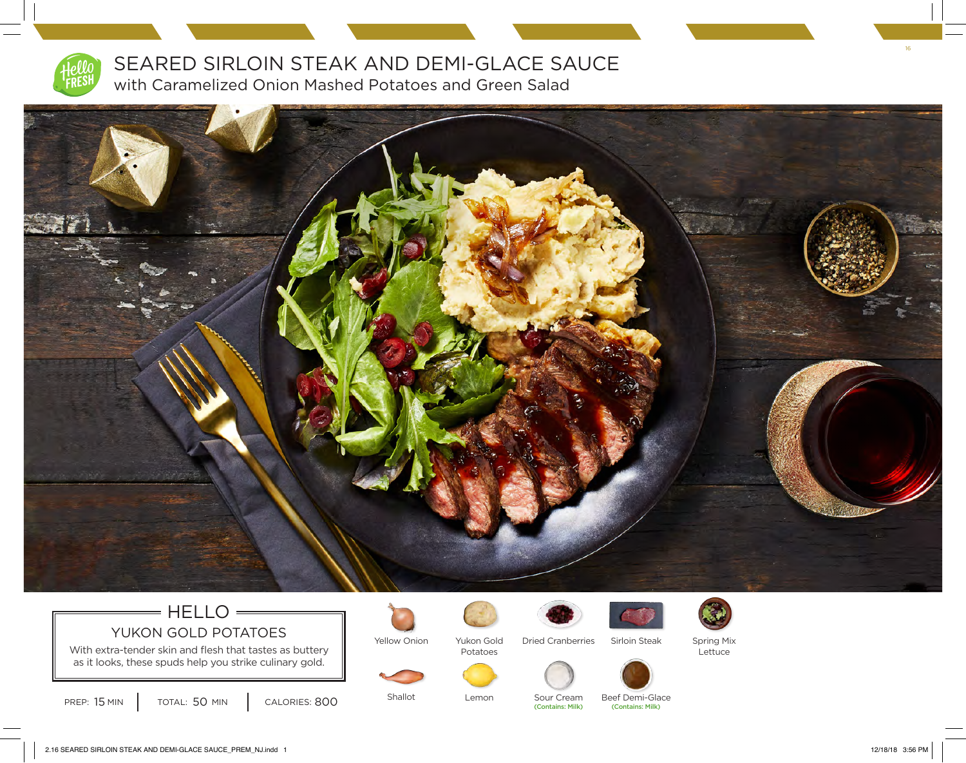

SEARED SIRLOIN STEAK AND DEMI-GLACE SAUCE with Caramelized Onion Mashed Potatoes and Green Salad



## $=$  HELLO  $=$ YUKON GOLD POTATOES

With extra-tender skin and flesh that tastes as buttery as it looks, these spuds help you strike culinary gold.



Yukon Gold Potatoes



Sour Cream

Dried Cranberries



Sirloin Steak Spring Mix Lettuce





Beef Demi-Glace

PREP: 15 MIN TOTAL: 50 MIN CALORIES: 800 Shallot Lemon Sour Cream Beef Demi-Glam TOTAL: 50 MIN

Shallot

Lemon

2.16 SEARED SIRLOIN STEAK AND DEMI-GLACE SAUCE\_PREM\_NJ.indd 1 12/18/18 3:56 PM

16